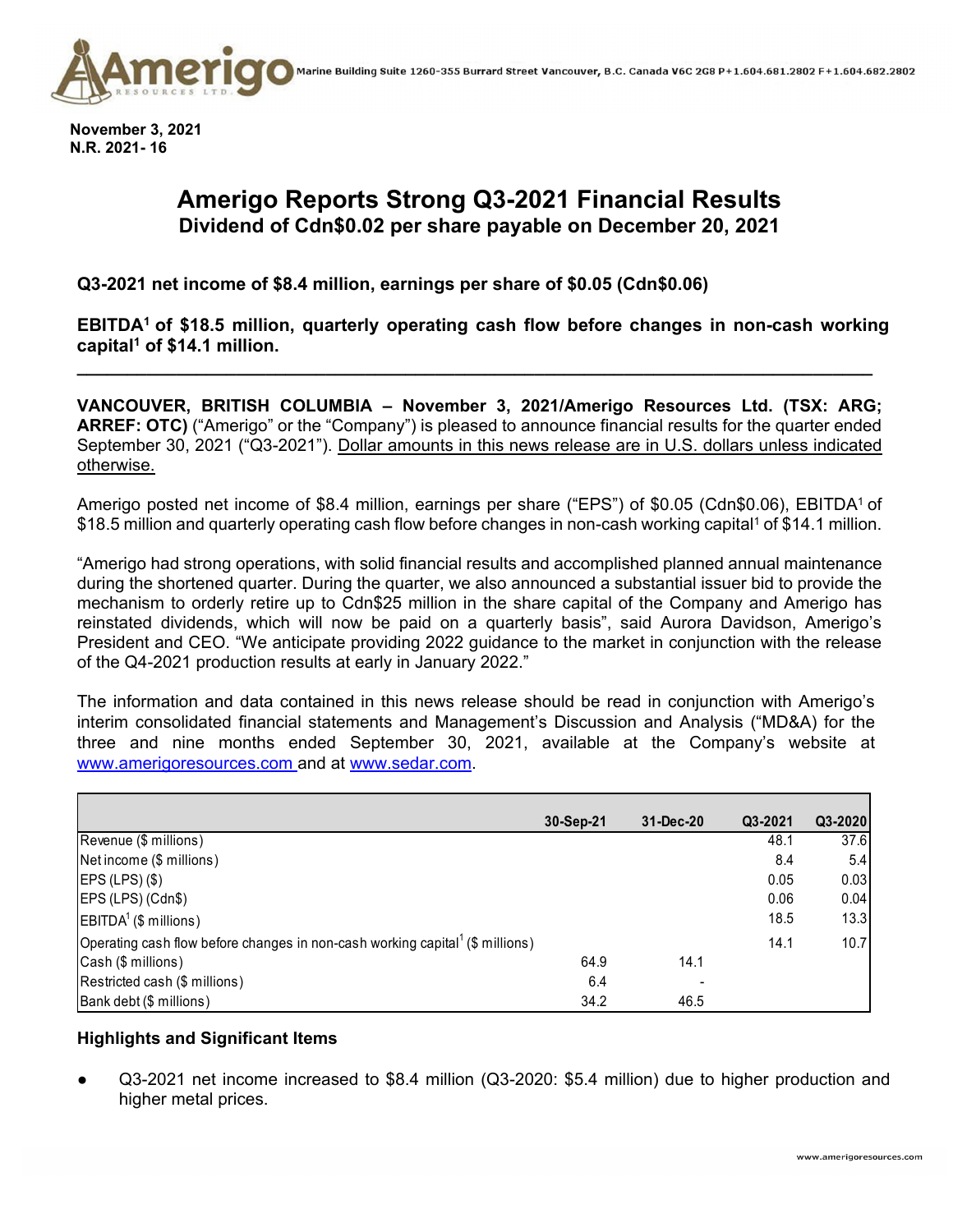

**November 3, 2021 N.R. 2021- 16** 

# **Amerigo Reports Strong Q3-2021 Financial Results Dividend of Cdn\$0.02 per share payable on December 20, 2021**

**Q3-2021 net income of \$8.4 million, earnings per share of \$0.05 (Cdn\$0.06)** 

**EBITDA<sup>1</sup> of \$18.5 million, quarterly operating cash flow before changes in non-cash working capital1 of \$14.1 million.** 

**\_\_\_\_\_\_\_\_\_\_\_\_\_\_\_\_\_\_\_\_\_\_\_\_\_\_\_\_\_\_\_\_\_\_\_\_\_\_\_\_\_\_\_\_\_\_\_\_\_\_\_\_\_\_\_\_\_\_\_\_\_\_\_\_\_\_\_\_\_\_\_\_\_\_\_\_\_\_\_\_** 

**VANCOUVER, BRITISH COLUMBIA – November 3, 2021/Amerigo Resources Ltd. (TSX: ARG; ARREF: OTC)** ("Amerigo" or the "Company") is pleased to announce financial results for the quarter ended September 30, 2021 ("Q3-2021"). Dollar amounts in this news release are in U.S. dollars unless indicated otherwise.

Amerigo posted net income of \$8.4 million, earnings per share ("EPS") of \$0.05 (Cdn\$0.06), EBITDA1 of \$18.5 million and quarterly operating cash flow before changes in non-cash working capital1 of \$14.1 million.

"Amerigo had strong operations, with solid financial results and accomplished planned annual maintenance during the shortened quarter. During the quarter, we also announced a substantial issuer bid to provide the mechanism to orderly retire up to Cdn\$25 million in the share capital of the Company and Amerigo has reinstated dividends, which will now be paid on a quarterly basis", said Aurora Davidson, Amerigo's President and CEO. "We anticipate providing 2022 guidance to the market in conjunction with the release of the Q4-2021 production results at early in January 2022."

The information and data contained in this news release should be read in conjunction with Amerigo's interim consolidated financial statements and Management's Discussion and Analysis ("MD&A) for the three and nine months ended September 30, 2021, available at the Company's website at www.amerigoresources.com and at www.sedar.com.

|                                                                                            | 30-Sep-21 | 31-Dec-20 | Q3-2021 | $Q3 - 2020$ |
|--------------------------------------------------------------------------------------------|-----------|-----------|---------|-------------|
| Revenue (\$ millions)                                                                      |           |           | 48.1    | 37.6        |
| Net income (\$ millions)                                                                   |           |           | 8.4     | 5.4         |
| $EPS$ (LPS) $(\$)$                                                                         |           |           | 0.05    | 0.03        |
| EPS (LPS) (Cdn\$)                                                                          |           |           | 0.06    | 0.04        |
| $EBITDA1$ (\$ millions)                                                                    |           |           | 18.5    | 13.3        |
| Operating cash flow before changes in non-cash working capital $\frac{1}{s}$ (\$ millions) |           |           | 14.1    | 10.7        |
| Cash (\$ millions)                                                                         | 64.9      | 14.1      |         |             |
| Restricted cash (\$ millions)                                                              | 6.4       |           |         |             |
| Bank debt (\$ millions)                                                                    | 34.2      | 46.5      |         |             |

#### **Highlights and Significant Items**

Q3-2021 net income increased to \$8.4 million (Q3-2020: \$5.4 million) due to higher production and higher metal prices.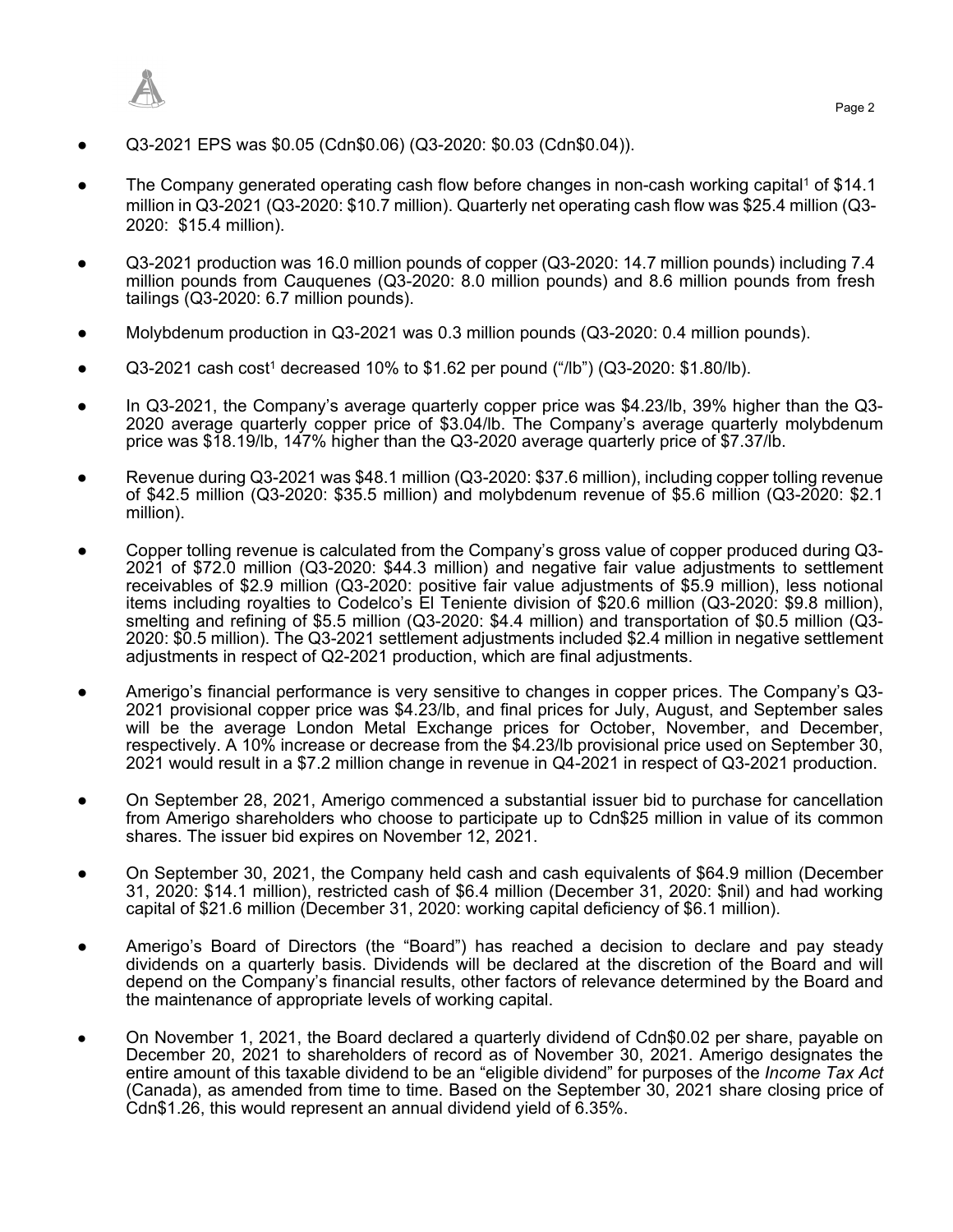

- Q3-2021 EPS was \$0.05 (Cdn\$0.06) (Q3-2020: \$0.03 (Cdn\$0.04)).
- The Company generated operating cash flow before changes in non-cash working capital<sup>1</sup> of \$14.1 million in Q3-2021 (Q3-2020: \$10.7 million). Quarterly net operating cash flow was \$25.4 million (Q3- 2020: \$15.4 million).
- Q3-2021 production was 16.0 million pounds of copper (Q3-2020: 14.7 million pounds) including 7.4 million pounds from Cauquenes (Q3-2020: 8.0 million pounds) and 8.6 million pounds from fresh tailings (Q3-2020: 6.7 million pounds).
- Molybdenum production in Q3-2021 was 0.3 million pounds (Q3-2020: 0.4 million pounds).
- $Q3-2021$  cash cost<sup>1</sup> decreased 10% to \$1.62 per pound ("/lb") (Q3-2020: \$1.80/lb).
- In Q3-2021, the Company's average quarterly copper price was \$4.23/lb, 39% higher than the Q3- 2020 average quarterly copper price of \$3.04/lb. The Company's average quarterly molybdenum price was \$18.19/lb, 147% higher than the Q3-2020 average quarterly price of \$7.37/lb.
- Revenue during Q3-2021 was \$48.1 million (Q3-2020: \$37.6 million), including copper tolling revenue of \$42.5 million (Q3-2020: \$35.5 million) and molybdenum revenue of \$5.6 million (Q3-2020: \$2.1 million).
- Copper tolling revenue is calculated from the Company's gross value of copper produced during Q3-2021 of \$72.0 million (Q3-2020: \$44.3 million) and negative fair value adjustments to settlement receivables of \$2.9 million (Q3-2020: positive fair value adjustments of \$5.9 million), less notional items including royalties to Codelco's El Teniente division of \$20.6 million (Q3-2020: \$9.8 million), smelting and refining of \$5.5 million (Q3-2020: \$4.4 million) and transportation of \$0.5 million (Q3- 2020: \$0.5 million). The Q3-2021 settlement adjustments included \$2.4 million in negative settlement adjustments in respect of Q2-2021 production, which are final adjustments.
- Amerigo's financial performance is very sensitive to changes in copper prices. The Company's Q3-2021 provisional copper price was \$4.23/lb, and final prices for July, August, and September sales will be the average London Metal Exchange prices for October, November, and December, respectively. A 10% increase or decrease from the \$4.23/lb provisional price used on September 30, 2021 would result in a \$7.2 million change in revenue in Q4-2021 in respect of Q3-2021 production.
- On September 28, 2021, Amerigo commenced a substantial issuer bid to purchase for cancellation from Amerigo shareholders who choose to participate up to Cdn\$25 million in value of its common shares. The issuer bid expires on November 12, 2021.
- On September 30, 2021, the Company held cash and cash equivalents of \$64.9 million (December 31, 2020: \$14.1 million), restricted cash of \$6.4 million (December 31, 2020: \$nil) and had working capital of \$21.6 million (December 31, 2020: working capital deficiency of \$6.1 million).
- Amerigo's Board of Directors (the "Board") has reached a decision to declare and pay steady dividends on a quarterly basis. Dividends will be declared at the discretion of the Board and will depend on the Company's financial results, other factors of relevance determined by the Board and the maintenance of appropriate levels of working capital.
- On November 1, 2021, the Board declared a quarterly dividend of Cdn\$0.02 per share, payable on December 20, 2021 to shareholders of record as of November 30, 2021. Amerigo designates the entire amount of this taxable dividend to be an "eligible dividend" for purposes of the *Income Tax Act* (Canada), as amended from time to time. Based on the September 30, 2021 share closing price of Cdn\$1.26, this would represent an annual dividend yield of 6.35%.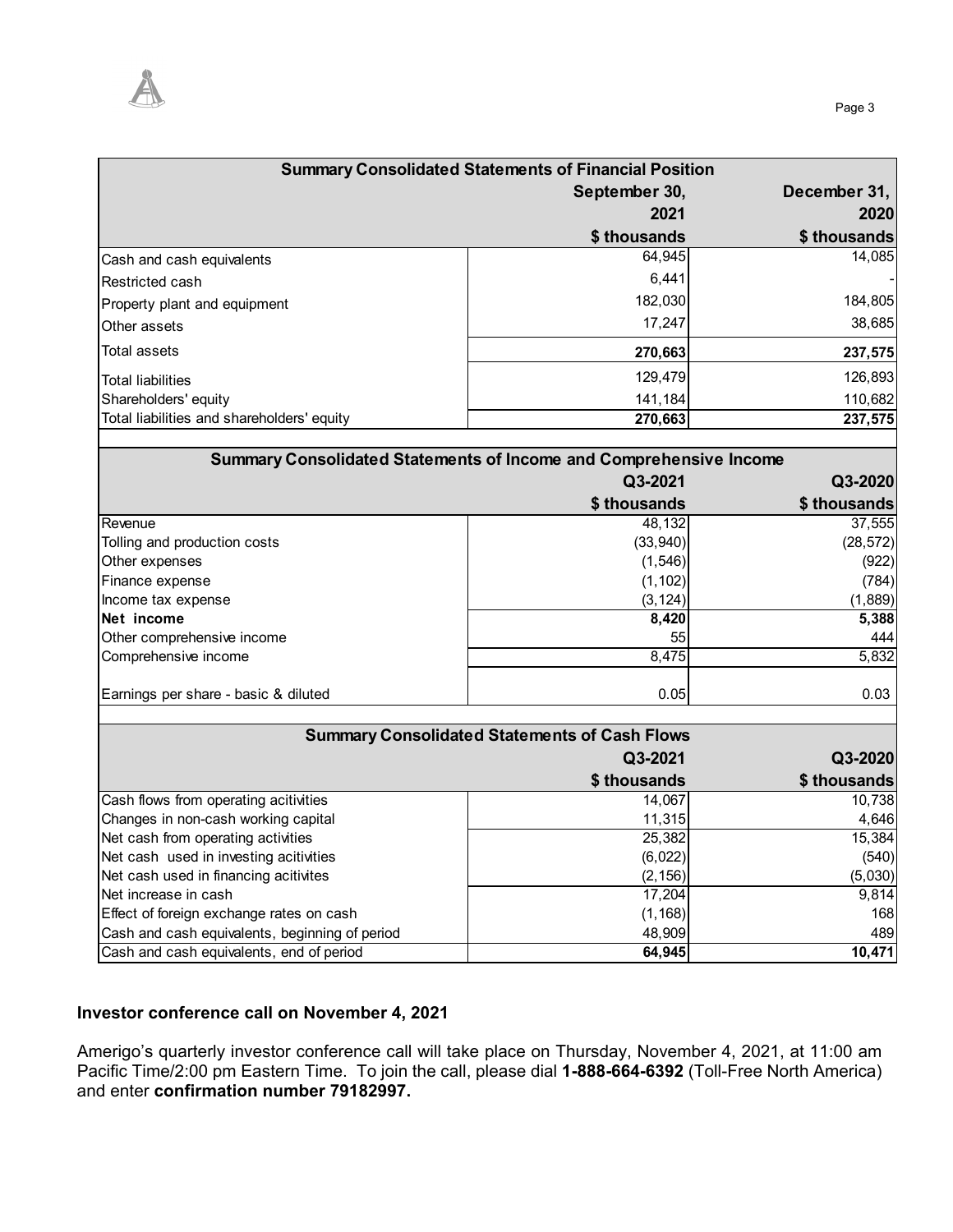| <b>Summary Consolidated Statements of Financial Position</b>       |                                                      |              |  |
|--------------------------------------------------------------------|------------------------------------------------------|--------------|--|
|                                                                    |                                                      |              |  |
|                                                                    | September 30,                                        | December 31, |  |
|                                                                    | 2021                                                 | 2020         |  |
|                                                                    | \$ thousands                                         | \$ thousands |  |
| Cash and cash equivalents                                          | 64,945                                               | 14,085       |  |
| Restricted cash                                                    | 6,441                                                |              |  |
| Property plant and equipment                                       | 182,030                                              | 184,805      |  |
| Other assets                                                       | 17,247                                               | 38,685       |  |
| Total assets                                                       | 270,663                                              | 237,575      |  |
| <b>Total liabilities</b>                                           | 129,479                                              | 126,893      |  |
| Shareholders' equity                                               | 141,184                                              | 110,682      |  |
| Total liabilities and shareholders' equity                         | 270,663                                              | 237,575      |  |
|                                                                    |                                                      |              |  |
| Summary Consolidated Statements of Income and Comprehensive Income |                                                      |              |  |
|                                                                    | Q3-2021                                              | Q3-2020      |  |
|                                                                    | \$ thousands                                         | \$ thousands |  |
| Revenue                                                            | 48,132                                               | 37,555       |  |
| Tolling and production costs                                       | (33, 940)                                            | (28, 572)    |  |
| Other expenses                                                     | (1, 546)                                             | (922)        |  |
| Finance expense                                                    | (1, 102)                                             | (784)        |  |
| Income tax expense                                                 | (3, 124)                                             | (1,889)      |  |
| Net income                                                         | 8,420                                                | 5,388        |  |
| Other comprehensive income                                         | 55                                                   | 444          |  |
| Comprehensive income                                               | 8,475                                                | 5,832        |  |
|                                                                    |                                                      |              |  |
| Earnings per share - basic & diluted                               | 0.05                                                 | 0.03         |  |
|                                                                    | <b>Summary Consolidated Statements of Cash Flows</b> |              |  |
|                                                                    | Q3-2021                                              | Q3-2020      |  |
|                                                                    | \$ thousands                                         | \$ thousands |  |
| Cash flows from operating acitivities                              | 14,067                                               | 10,738       |  |
| Changes in non-cash working capital                                | 11,315                                               | 4,646        |  |
| Net cash from operating activities                                 | 25,382                                               | 15,384       |  |
| Net cash used in investing acitivities                             | (6,022)                                              | (540)        |  |
| Net cash used in financing acitivites                              | (2, 156)                                             | (5,030)      |  |
| Net increase in cash                                               | 17,204                                               | 9,814        |  |
| Effect of foreign exchange rates on cash                           | (1, 168)                                             | 168          |  |
| Cash and cash equivalents, beginning of period                     | 48,909                                               | 489          |  |

# **Investor conference call on November 4, 2021**

Amerigo's quarterly investor conference call will take place on Thursday, November 4, 2021, at 11:00 am Pacific Time/2:00 pm Eastern Time. To join the call, please dial **1-888-664-6392** (Toll-Free North America) and enter **confirmation number 79182997.** 

Cash and cash equivalents, end of period **64,945 64,945 10,471** 

Page 3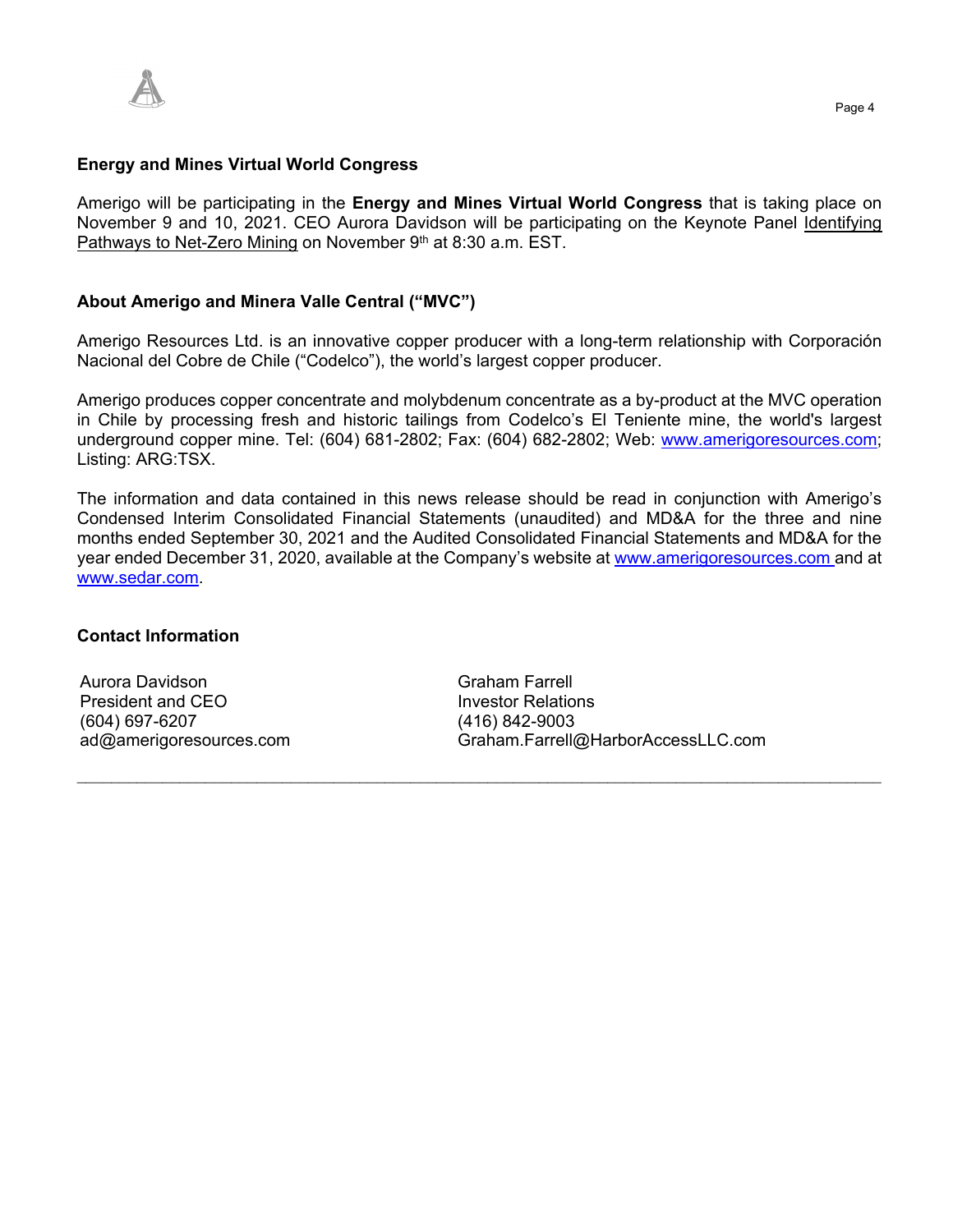

### **Energy and Mines Virtual World Congress**

Amerigo will be participating in the **Energy and Mines Virtual World Congress** that is taking place on November 9 and 10, 2021. CEO Aurora Davidson will be participating on the Keynote Panel Identifying Pathways to Net-Zero Mining on November 9th at 8:30 a.m. EST.

## **About Amerigo and Minera Valle Central ("MVC")**

Amerigo Resources Ltd. is an innovative copper producer with a long-term relationship with Corporación Nacional del Cobre de Chile ("Codelco"), the world's largest copper producer.

Amerigo produces copper concentrate and molybdenum concentrate as a by-product at the MVC operation in Chile by processing fresh and historic tailings from Codelco's El Teniente mine, the world's largest underground copper mine. Tel: (604) 681-2802; Fax: (604) 682-2802; Web: www.amerigoresources.com; Listing: ARG:TSX.

The information and data contained in this news release should be read in conjunction with Amerigo's Condensed Interim Consolidated Financial Statements (unaudited) and MD&A for the three and nine months ended September 30, 2021 and the Audited Consolidated Financial Statements and MD&A for the year ended December 31, 2020, available at the Company's website at www.amerigoresources.com and at www.sedar.com.

 $\mathcal{L}_\mathcal{L} = \{ \mathcal{L}_\mathcal{L} = \{ \mathcal{L}_\mathcal{L} = \{ \mathcal{L}_\mathcal{L} = \{ \mathcal{L}_\mathcal{L} = \{ \mathcal{L}_\mathcal{L} = \{ \mathcal{L}_\mathcal{L} = \{ \mathcal{L}_\mathcal{L} = \{ \mathcal{L}_\mathcal{L} = \{ \mathcal{L}_\mathcal{L} = \{ \mathcal{L}_\mathcal{L} = \{ \mathcal{L}_\mathcal{L} = \{ \mathcal{L}_\mathcal{L} = \{ \mathcal{L}_\mathcal{L} = \{ \mathcal{L}_\mathcal{$ 

#### **Contact Information**

Aurora Davidson Graham Farrell **President and CEO Investor Relations** (604) 697-6207 (416) 842-9003

ad@amerigoresources.com Graham.Farrell@HarborAccessLLC.com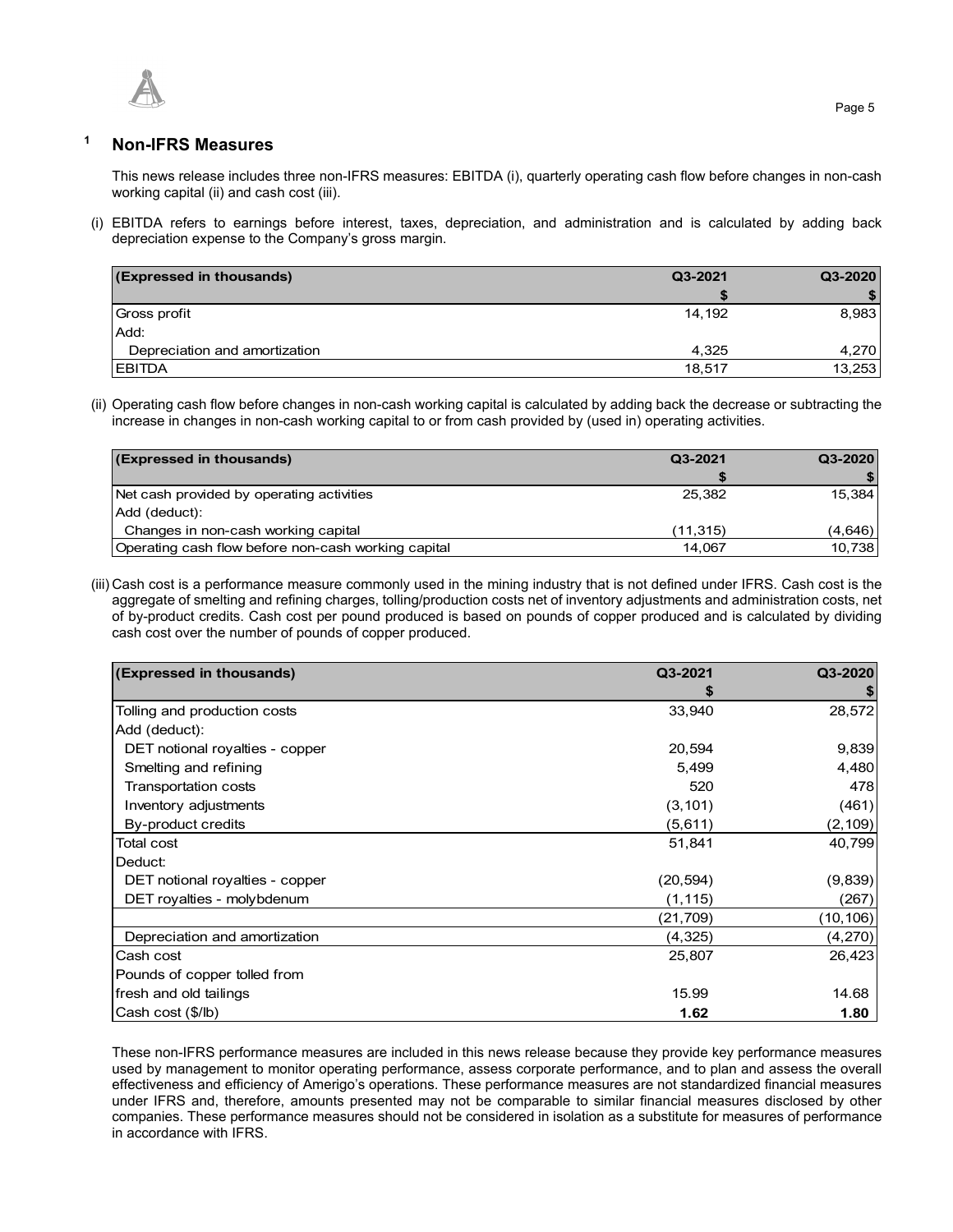

**1**

#### **Non-IFRS Measures**

This news release includes three non-IFRS measures: EBITDA (i), quarterly operating cash flow before changes in non-cash working capital (ii) and cash cost (iii).

(i) EBITDA refers to earnings before interest, taxes, depreciation, and administration and is calculated by adding back depreciation expense to the Company's gross margin.

| (Expressed in thousands)      | Q3-2021 | Q3-2020 |
|-------------------------------|---------|---------|
|                               |         |         |
| Gross profit                  | 14,192  | 8,983   |
| Add:                          |         |         |
| Depreciation and amortization | 4,325   | 4,270   |
| <b>IEBITDA</b>                | 18.517  | 13,253  |

(ii) Operating cash flow before changes in non-cash working capital is calculated by adding back the decrease or subtracting the increase in changes in non-cash working capital to or from cash provided by (used in) operating activities.

| (Expressed in thousands)                            | Q3-2021   | Q3-2020 |
|-----------------------------------------------------|-----------|---------|
|                                                     |           |         |
| Net cash provided by operating activities           | 25.382    | 15,384  |
| Add (deduct):                                       |           |         |
| Changes in non-cash working capital                 | (11, 315) | (4,646) |
| Operating cash flow before non-cash working capital | 14.067    | 10,738  |

(iii) Cash cost is a performance measure commonly used in the mining industry that is not defined under IFRS. Cash cost is the aggregate of smelting and refining charges, tolling/production costs net of inventory adjustments and administration costs, net of by-product credits. Cash cost per pound produced is based on pounds of copper produced and is calculated by dividing cash cost over the number of pounds of copper produced.

| (Expressed in thousands)        | Q3-2021   | Q3-2020   |
|---------------------------------|-----------|-----------|
|                                 |           |           |
| Tolling and production costs    | 33,940    | 28,572    |
| Add (deduct):                   |           |           |
| DET notional royalties - copper | 20,594    | 9,839     |
| Smelting and refining           | 5,499     | 4,480     |
| Transportation costs            | 520       | 478       |
| Inventory adjustments           | (3, 101)  | (461)     |
| By-product credits              | (5,611)   | (2, 109)  |
| Total cost                      | 51,841    | 40,799    |
| Deduct:                         |           |           |
| DET notional royalties - copper | (20, 594) | (9,839)   |
| DET royalties - molybdenum      | (1, 115)  | (267)     |
|                                 | (21,709)  | (10, 106) |
| Depreciation and amortization   | (4, 325)  | (4,270)   |
| Cash cost                       | 25,807    | 26,423    |
| Pounds of copper tolled from    |           |           |
| fresh and old tailings          | 15.99     | 14.68     |
| Cash cost (\$/lb)               | 1.62      | 1.80      |

These non-IFRS performance measures are included in this news release because they provide key performance measures used by management to monitor operating performance, assess corporate performance, and to plan and assess the overall effectiveness and efficiency of Amerigo's operations. These performance measures are not standardized financial measures under IFRS and, therefore, amounts presented may not be comparable to similar financial measures disclosed by other companies. These performance measures should not be considered in isolation as a substitute for measures of performance in accordance with IFRS.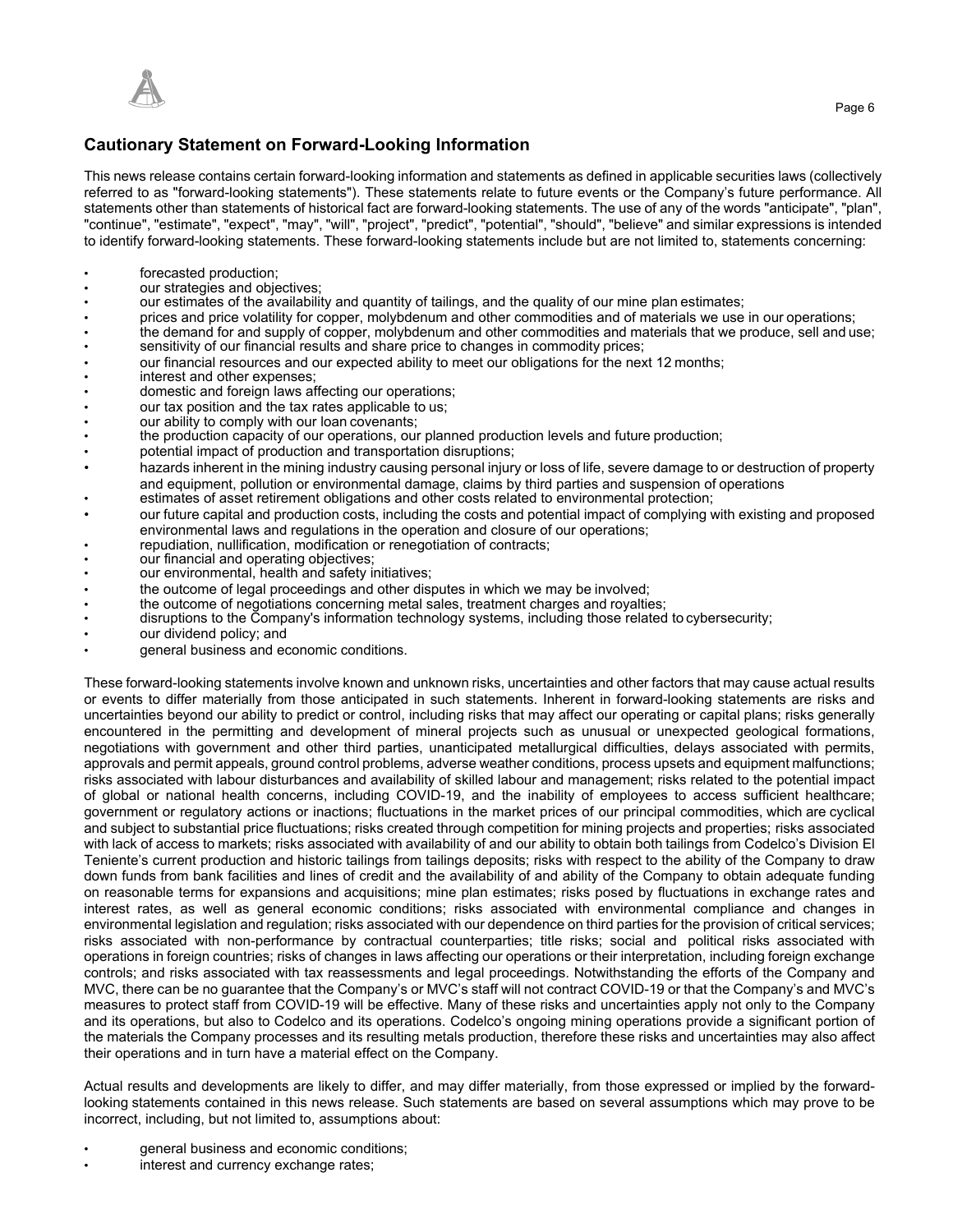

# **Cautionary Statement on Forward-Looking Information**

This news release contains certain forward-looking information and statements as defined in applicable securities laws (collectively referred to as "forward-looking statements"). These statements relate to future events or the Company's future performance. All statements other than statements of historical fact are forward-looking statements. The use of any of the words "anticipate", "plan", "continue", "estimate", "expect", "may", "will", "project", "predict", "potential", "should", "believe" and similar expressions is intended to identify forward-looking statements. These forward-looking statements include but are not limited to, statements concerning:

- forecasted production;
- our strategies and objectives;
- our estimates of the availability and quantity of tailings, and the quality of our mine plan estimates;
- prices and price volatility for copper, molybdenum and other commodities and of materials we use in our operations;
- the demand for and supply of copper, molybdenum and other commodities and materials that we produce, sell and use;<br>• Sensitivity of our financial results and share price to changes in commodity prices; • sensitivity of our financial results and share price to changes in commodity prices;
- our financial resources and our expected ability to meet our obligations for the next 12 months;
- interest and other expenses;
- domestic and foreign laws affecting our operations;
- our tax position and the tax rates applicable to us:
- our ability to comply with our loan covenants;
- the production capacity of our operations, our planned production levels and future production;
- potential impact of production and transportation disruptions;
- hazards inherent in the mining industry causing personal injury or loss of life, severe damage to or destruction of property and equipment, pollution or environmental damage, claims by third parties and suspension of operations
- estimates of asset retirement obligations and other costs related to environmental protection;
- our future capital and production costs, including the costs and potential impact of complying with existing and proposed environmental laws and regulations in the operation and closure of our operations;
- repudiation, nullification, modification or renegotiation of contracts;
- our financial and operating objectives;
- our environmental, health and safety initiatives;
- the outcome of legal proceedings and other disputes in which we may be involved;
- the outcome of negotiations concerning metal sales, treatment charges and royalties;
- disruptions to the Company's information technology systems, including those related to cybersecurity;
- our dividend policy; and
- general business and economic conditions.

These forward-looking statements involve known and unknown risks, uncertainties and other factors that may cause actual results or events to differ materially from those anticipated in such statements. Inherent in forward-looking statements are risks and uncertainties beyond our ability to predict or control, including risks that may affect our operating or capital plans; risks generally encountered in the permitting and development of mineral projects such as unusual or unexpected geological formations, negotiations with government and other third parties, unanticipated metallurgical difficulties, delays associated with permits, approvals and permit appeals, ground control problems, adverse weather conditions, process upsets and equipment malfunctions; risks associated with labour disturbances and availability of skilled labour and management; risks related to the potential impact of global or national health concerns, including COVID-19, and the inability of employees to access sufficient healthcare; government or regulatory actions or inactions; fluctuations in the market prices of our principal commodities, which are cyclical and subject to substantial price fluctuations; risks created through competition for mining projects and properties; risks associated with lack of access to markets; risks associated with availability of and our ability to obtain both tailings from Codelco's Division El Teniente's current production and historic tailings from tailings deposits; risks with respect to the ability of the Company to draw down funds from bank facilities and lines of credit and the availability of and ability of the Company to obtain adequate funding on reasonable terms for expansions and acquisitions; mine plan estimates; risks posed by fluctuations in exchange rates and interest rates, as well as general economic conditions; risks associated with environmental compliance and changes in environmental legislation and regulation; risks associated with our dependence on third parties for the provision of critical services; risks associated with non-performance by contractual counterparties; title risks; social and political risks associated with operations in foreign countries; risks of changes in laws affecting our operations or their interpretation, including foreign exchange controls; and risks associated with tax reassessments and legal proceedings. Notwithstanding the efforts of the Company and MVC, there can be no guarantee that the Company's or MVC's staff will not contract COVID-19 or that the Company's and MVC's measures to protect staff from COVID-19 will be effective. Many of these risks and uncertainties apply not only to the Company and its operations, but also to Codelco and its operations. Codelco's ongoing mining operations provide a significant portion of the materials the Company processes and its resulting metals production, therefore these risks and uncertainties may also affect their operations and in turn have a material effect on the Company.

Actual results and developments are likely to differ, and may differ materially, from those expressed or implied by the forwardlooking statements contained in this news release. Such statements are based on several assumptions which may prove to be incorrect, including, but not limited to, assumptions about:

- general business and economic conditions;
- interest and currency exchange rates;